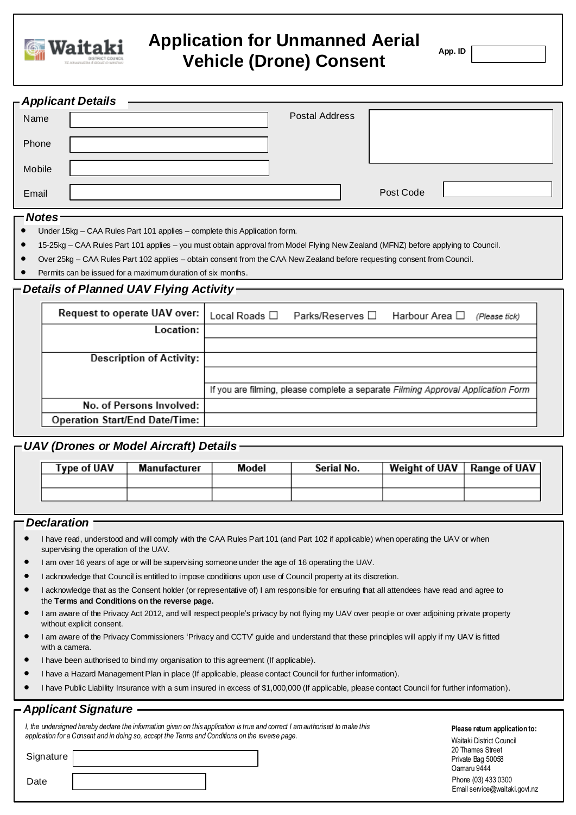

# *Applicant Details*

| Name   | i | Postal Address |           |  |
|--------|---|----------------|-----------|--|
| Phone  |   |                |           |  |
| Mobile |   |                |           |  |
| Email  |   |                | Post Code |  |

#### *Notes*

- Under 15kg CAA Rules Part 101 applies complete this Application form.
- 15-25kg CAA Rules Part 101 applies you must obtain approval from Model Flying New Zealand (MFNZ) before applying to Council.
- Over 25kg CAA Rules Part 102 applies obtain consent from the CAA New Zealand before requesting consent from Council.
- Permits can be issued for a maximum duration of six months.

### *Details of Planned UAV Flying Activity*

| Request to operate UAV over:          |                                                                                  | Local Roads □ Parks/Reserves □ | Harbour Area □ | (Please tick) |
|---------------------------------------|----------------------------------------------------------------------------------|--------------------------------|----------------|---------------|
| Location:                             |                                                                                  |                                |                |               |
|                                       |                                                                                  |                                |                |               |
| <b>Description of Activity:</b>       |                                                                                  |                                |                |               |
|                                       |                                                                                  |                                |                |               |
|                                       | If you are filming, please complete a separate Filming Approval Application Form |                                |                |               |
| No. of Persons Involved:              |                                                                                  |                                |                |               |
| <b>Operation Start/End Date/Time:</b> |                                                                                  |                                |                |               |

## *UAV (Drones or Model Aircraft) Details*

| Type of UAV | Manufacturer | Model | Serial No. | Weight of UAV | Range of UAV |
|-------------|--------------|-------|------------|---------------|--------------|
|             |              |       |            |               |              |
|             |              |       |            |               |              |

#### *Declaration*

- I have read, understood and will comply with the CAA Rules Part 101 (and Part 102 if applicable) when operating the UAV or when supervising the operation of the UAV.
- I am over 16 years of age or will be supervising someone under the age of 16 operating the UAV.
- I acknowledge that Council is entitled to impose conditions upon use of Council property at its discretion.
- I acknowledge that as the Consent holder (or representative of) I am responsible for ensuring that all attendees have read and agree to the **Terms and Conditions on the reverse page.**
- I am aware of the Privacy Act 2012, and will respect people's privacy by not flying my UAV over people or over adjoining private property without explicit consent.
- I am aware of the Privacy Commissioners 'Privacy and CCTV' guide and understand that these principles will apply if my UAV is fitted with a camera.
- I have been authorised to bind my organisation to this agreement (If applicable).
- I have a Hazard Management Plan in place (If applicable, please contact Council for further information).
- I have Public Liability Insurance with a sum insured in excess of \$1,000,000 (If applicable, please contact Council for further information).

### *Applicant Signature*

*I*, the undersigned hereby declare the information given on this application is true and correct I am authorised to make this *application for a Consent and in doing so, accept the Terms and Conditions on the reverse page.*

**Signature** 

Waitaki District Council 20 Thames Street Private Bag 50058 Oamaru 9444 Phone (03) 433 0300 Email service@waitaki.govt.nz

**Please return application to:**

| . .<br>$\sim$<br>×<br>۹ |
|-------------------------|
|-------------------------|